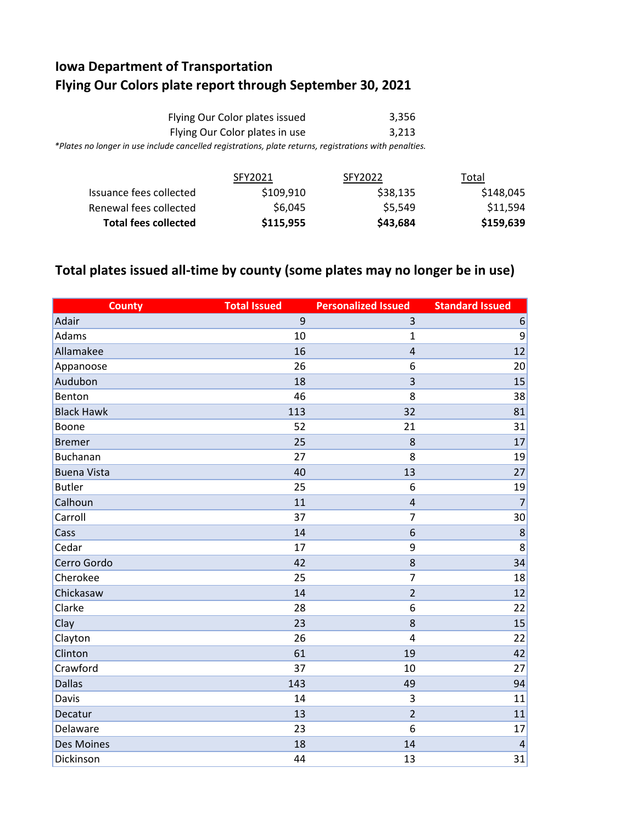## **Iowa Department of Transportation Flying Our Colors plate report through September 30, 2021**

| Flying Our Color plates issued                                                                         | 3.356 |
|--------------------------------------------------------------------------------------------------------|-------|
| Flying Our Color plates in use                                                                         | 3.213 |
| *Plates no longer in use include cancelled registrations, plate returns, registrations with penalties. |       |

|                             | SFY2021   | SFY2022  | Total     |
|-----------------------------|-----------|----------|-----------|
| Issuance fees collected     | \$109,910 | \$38,135 | \$148,045 |
| Renewal fees collected      | \$6,045   | \$5.549  | \$11,594  |
| <b>Total fees collected</b> | \$115,955 | \$43,684 | \$159,639 |

## **Total plates issued all-time by county (some plates may no longer be in use)**

| <b>County</b>      | <b>Total Issued</b> | <b>Personalized Issued</b> | <b>Standard Issued</b> |
|--------------------|---------------------|----------------------------|------------------------|
| Adair              | 9                   | $\overline{3}$             | $\boldsymbol{6}$       |
| Adams              | 10                  | $\mathbf{1}$               | 9                      |
| Allamakee          | 16                  | $\overline{4}$             | 12                     |
| Appanoose          | 26                  | 6                          | 20                     |
| Audubon            | 18                  | 3                          | 15                     |
| Benton             | 46                  | 8                          | 38                     |
| <b>Black Hawk</b>  | 113                 | 32                         | 81                     |
| Boone              | 52                  | 21                         | 31                     |
| <b>Bremer</b>      | 25                  | 8                          | 17                     |
| <b>Buchanan</b>    | 27                  | 8                          | 19                     |
| <b>Buena Vista</b> | 40                  | 13                         | 27                     |
| <b>Butler</b>      | 25                  | 6                          | 19                     |
| Calhoun            | 11                  | $\overline{4}$             | $\overline{7}$         |
| Carroll            | 37                  | $\overline{7}$             | 30                     |
| Cass               | 14                  | 6                          | 8                      |
| Cedar              | 17                  | 9                          | 8                      |
| Cerro Gordo        | 42                  | 8                          | 34                     |
| Cherokee           | 25                  | $\overline{7}$             | 18                     |
| Chickasaw          | 14                  | $\overline{2}$             | 12                     |
| Clarke             | 28                  | 6                          | 22                     |
| Clay               | 23                  | 8                          | 15                     |
| Clayton            | 26                  | $\overline{4}$             | 22                     |
| Clinton            | 61                  | 19                         | 42                     |
| Crawford           | 37                  | 10                         | 27                     |
| <b>Dallas</b>      | 143                 | 49                         | 94                     |
| Davis              | 14                  | 3                          | 11                     |
| Decatur            | 13                  | $\overline{2}$             | 11                     |
| Delaware           | 23                  | 6                          | 17                     |
| <b>Des Moines</b>  | 18                  | 14                         | $\overline{4}$         |
| Dickinson          | 44                  | 13                         | 31                     |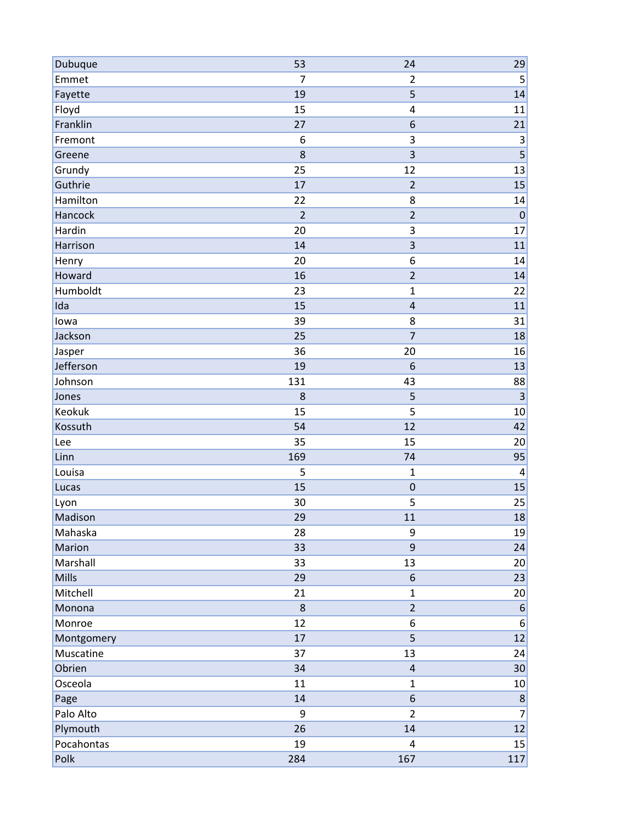| Dubuque    | 53             | 24                      | 29                      |
|------------|----------------|-------------------------|-------------------------|
| Emmet      | $\overline{7}$ | $\overline{2}$          | $\mathsf S$             |
| Fayette    | 19             | 5                       | 14                      |
| Floyd      | 15             | 4                       | 11                      |
| Franklin   | 27             | 6                       | 21                      |
| Fremont    | 6              | 3                       | $\mathsf 3$             |
| Greene     | 8              | 3                       | $\overline{\mathbf{5}}$ |
| Grundy     | 25             | 12                      | 13                      |
| Guthrie    | 17             | $\overline{2}$          | 15                      |
| Hamilton   | 22             | 8                       | 14                      |
| Hancock    | $\overline{2}$ | $\overline{2}$          | $\mathbf 0$             |
| Hardin     | 20             | 3                       | 17                      |
| Harrison   | 14             | $\overline{\mathbf{3}}$ | 11                      |
| Henry      | 20             | 6                       | 14                      |
| Howard     | 16             | $\overline{2}$          | 14                      |
| Humboldt   | 23             | $\mathbf{1}$            | 22                      |
| Ida        | 15             | $\pmb{4}$               | 11                      |
| lowa       | 39             | 8                       | 31                      |
| Jackson    | 25             | $\overline{7}$          | 18                      |
| Jasper     | 36             | 20                      | 16                      |
| Jefferson  | 19             | $6\phantom{1}6$         | 13                      |
| Johnson    | 131            | 43                      | 88                      |
| Jones      | 8              | 5                       | $\overline{3}$          |
| Keokuk     | 15             | 5                       | $10\,$                  |
| Kossuth    | 54             | 12                      | 42                      |
| Lee        | 35             | 15                      | 20                      |
| Linn       | 169            | 74                      | 95                      |
| Louisa     | 5              | $\mathbf{1}$            | $\overline{4}$          |
| Lucas      | 15             | $\mathbf 0$             | 15                      |
| Lyon       | 30             | 5                       | 25                      |
| Madison    | 29             | 11                      | 18                      |
| Mahaska    | 28             | 9                       | 19                      |
| Marion     | 33             | $\mathsf g$             | 24                      |
| Marshall   | 33             | 13                      | 20                      |
| Mills      | 29             | 6                       | 23                      |
| Mitchell   | 21             | $\mathbf 1$             | 20                      |
| Monona     | 8              | $\overline{2}$          | $6 \overline{}$         |
| Monroe     | 12             | 6                       | 6                       |
| Montgomery | 17             | 5                       | 12                      |
| Muscatine  | 37             | 13                      | 24                      |
| Obrien     | 34             | $\sqrt{4}$              | 30 <sub>2</sub>         |
| Osceola    | 11             | $\mathbf{1}$            | 10                      |
| Page       | 14             | $\boldsymbol{6}$        | $\boldsymbol{8}$        |
| Palo Alto  | 9              | $\overline{2}$          | $\overline{7}$          |
| Plymouth   | 26             | 14                      | 12                      |
| Pocahontas | 19             | 4                       | 15                      |
| Polk       | 284            | 167                     | 117                     |